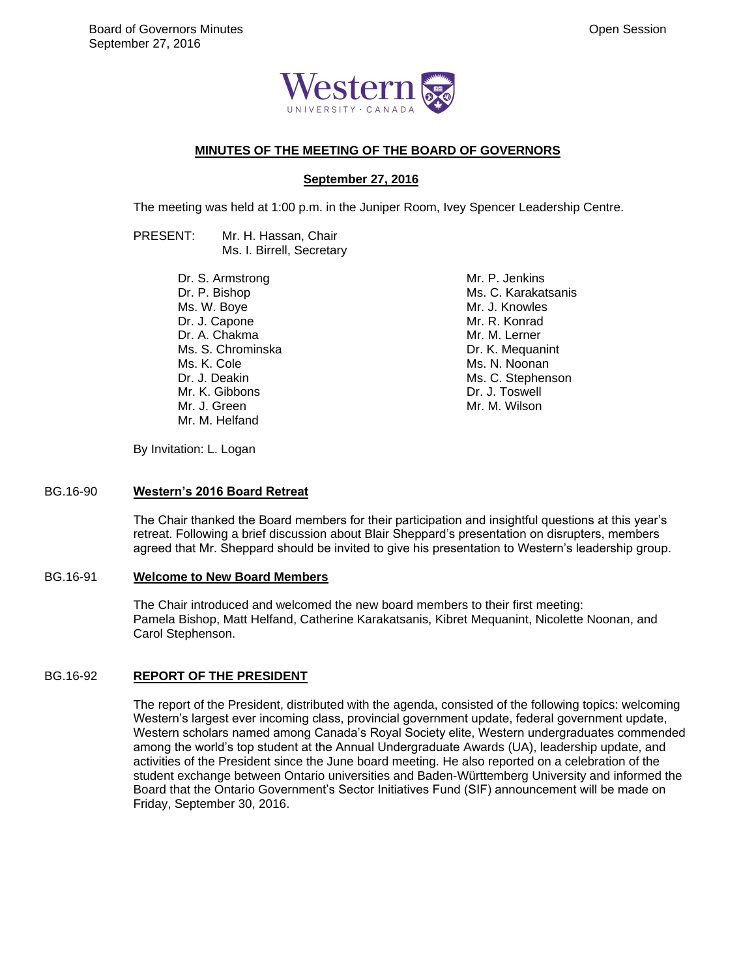

## **MINUTES OF THE MEETING OF THE BOARD OF GOVERNORS**

## **September 27, 2016**

The meeting was held at 1:00 p.m. in the Juniper Room, Ivey Spencer Leadership Centre.

PRESENT: Mr. H. Hassan, Chair Ms. I. Birrell, Secretary

> Dr. S. Armstrong Dr. P. Bishop Ms. W. Boye Dr. J. Capone Dr. A. Chakma Ms. S. Chrominska Ms. K. Cole Dr. J. Deakin Mr. K. Gibbons Mr. J. Green Mr. M. Helfand

Mr. P. Jenkins Ms. C. Karakatsanis Mr. J. Knowles Mr. R. Konrad Mr. M. Lerner Dr. K. Mequanint Ms. N. Noonan Ms. C. Stephenson Dr. J. Toswell Mr. M. Wilson

By Invitation: L. Logan

#### BG.16-90 **Western's 2016 Board Retreat**

The Chair thanked the Board members for their participation and insightful questions at this year's retreat. Following a brief discussion about Blair Sheppard's presentation on disrupters, members agreed that Mr. Sheppard should be invited to give his presentation to Western's leadership group.

#### BG.16-91 **Welcome to New Board Members**

The Chair introduced and welcomed the new board members to their first meeting: Pamela Bishop, Matt Helfand, Catherine Karakatsanis, Kibret Mequanint, Nicolette Noonan, and Carol Stephenson.

## BG.16-92 **REPORT OF THE PRESIDENT**

The report of the President, distributed with the agenda, consisted of the following topics: welcoming Western's largest ever incoming class, provincial government update, federal government update, Western scholars named among Canada's Royal Society elite, Western undergraduates commended among the world's top student at the Annual Undergraduate Awards (UA), leadership update, and activities of the President since the June board meeting. He also reported on a celebration of the student exchange between Ontario universities and Baden-Württemberg University and informed the Board that the Ontario Government's Sector Initiatives Fund (SIF) announcement will be made on Friday, September 30, 2016.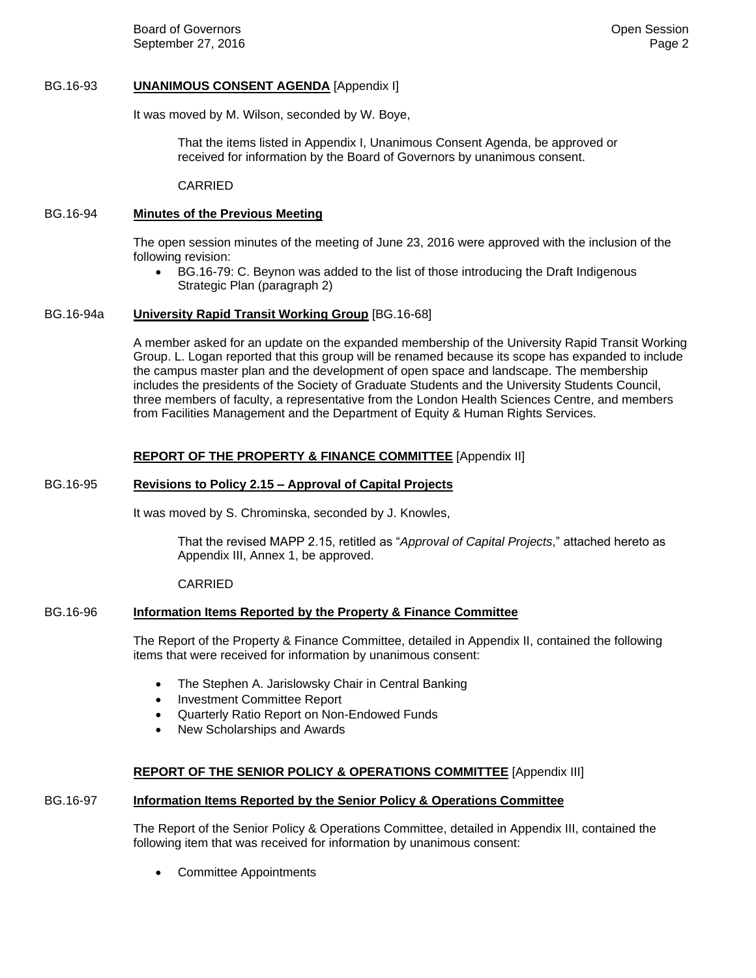Board of Governors **Community Community** Community Community Community Community Community Community Community Community Community Community Community Community Community Community Community Community Community Community C September 27, 2016 **Page 2** Page 2

## BG.16-93 **UNANIMOUS CONSENT AGENDA** [Appendix I]

It was moved by M. Wilson, seconded by W. Boye,

That the items listed in Appendix I, Unanimous Consent Agenda, be approved or received for information by the Board of Governors by unanimous consent.

CARRIED

## BG.16-94 **Minutes of the Previous Meeting**

The open session minutes of the meeting of June 23, 2016 were approved with the inclusion of the following revision:

 BG.16-79: C. Beynon was added to the list of those introducing the Draft Indigenous Strategic Plan (paragraph 2)

## BG.16-94a **University Rapid Transit Working Group** [BG.16-68]

A member asked for an update on the expanded membership of the University Rapid Transit Working Group. L. Logan reported that this group will be renamed because its scope has expanded to include the campus master plan and the development of open space and landscape. The membership includes the presidents of the Society of Graduate Students and the University Students Council, three members of faculty, a representative from the London Health Sciences Centre, and members from Facilities Management and the Department of Equity & Human Rights Services.

## **REPORT OF THE PROPERTY & FINANCE COMMITTEE** [Appendix II]

#### BG.16-95 **Revisions to Policy 2.15 – Approval of Capital Projects**

It was moved by S. Chrominska, seconded by J. Knowles,

That the revised MAPP 2.15, retitled as "*Approval of Capital Projects*," attached hereto as Appendix III, Annex 1, be approved.

#### CARRIED

## BG.16-96 **Information Items Reported by the Property & Finance Committee**

The Report of the Property & Finance Committee, detailed in Appendix II, contained the following items that were received for information by unanimous consent:

- The Stephen A. Jarislowsky Chair in Central Banking
- Investment Committee Report
- Quarterly Ratio Report on Non-Endowed Funds
- New Scholarships and Awards

# **REPORT OF THE SENIOR POLICY & OPERATIONS COMMITTEE** [Appendix III]

## BG.16-97 **Information Items Reported by the Senior Policy & Operations Committee**

The Report of the Senior Policy & Operations Committee, detailed in Appendix III, contained the following item that was received for information by unanimous consent:

Committee Appointments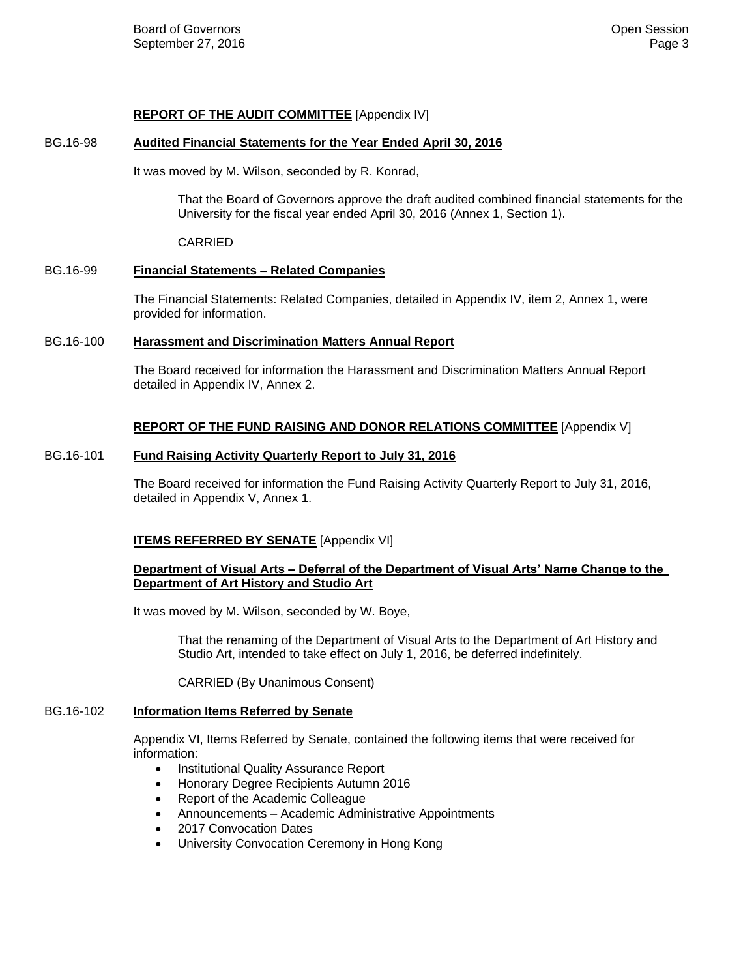## **REPORT OF THE AUDIT COMMITTEE** [Appendix IV]

## BG.16-98 **Audited Financial Statements for the Year Ended April 30, 2016**

It was moved by M. Wilson, seconded by R. Konrad,

That the Board of Governors approve the draft audited combined financial statements for the University for the fiscal year ended April 30, 2016 (Annex 1, Section 1).

CARRIED

## BG.16-99 **Financial Statements – Related Companies**

The Financial Statements: Related Companies, detailed in Appendix IV, item 2, Annex 1, were provided for information.

## BG.16-100 **Harassment and Discrimination Matters Annual Report**

The Board received for information the Harassment and Discrimination Matters Annual Report detailed in Appendix IV, Annex 2.

# **REPORT OF THE FUND RAISING AND DONOR RELATIONS COMMITTEE** [Appendix V]

# BG.16-101 **Fund Raising Activity Quarterly Report to July 31, 2016**

The Board received for information the Fund Raising Activity Quarterly Report to July 31, 2016, detailed in Appendix V, Annex 1.

# **ITEMS REFERRED BY SENATE** [Appendix VI]

## **Department of Visual Arts – Deferral of the Department of Visual Arts' Name Change to the Department of Art History and Studio Art**

It was moved by M. Wilson, seconded by W. Boye,

That the renaming of the Department of Visual Arts to the Department of Art History and Studio Art, intended to take effect on July 1, 2016, be deferred indefinitely.

CARRIED (By Unanimous Consent)

## BG.16-102 **Information Items Referred by Senate**

Appendix VI, Items Referred by Senate, contained the following items that were received for information:

- Institutional Quality Assurance Report
- Honorary Degree Recipients Autumn 2016
- Report of the Academic Colleague
- Announcements Academic Administrative Appointments
- 2017 Convocation Dates
- University Convocation Ceremony in Hong Kong